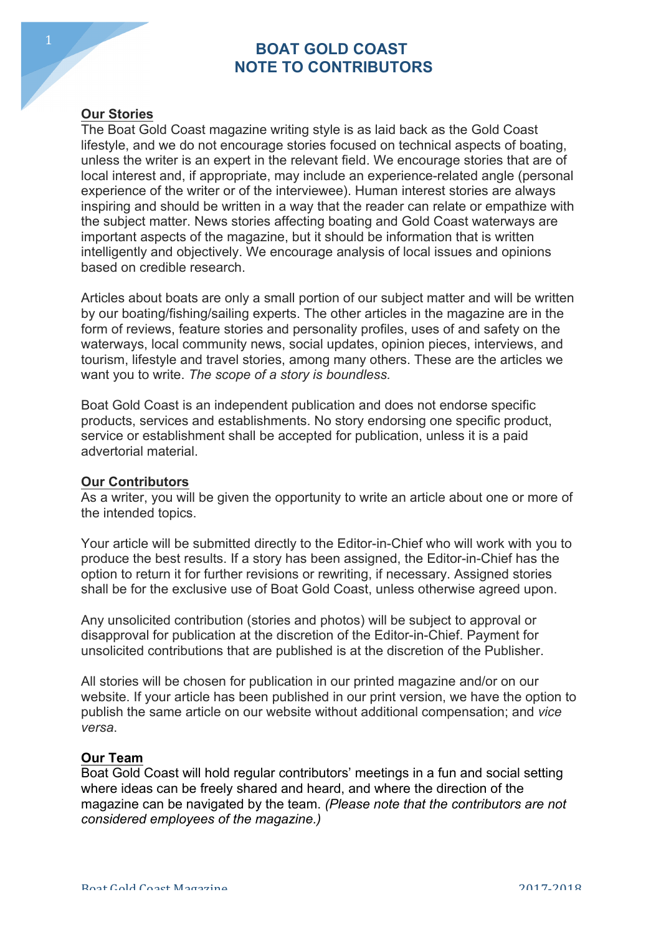# **BOAT GOLD COAST NOTE TO CONTRIBUTORS**

## **Our Stories**

The Boat Gold Coast magazine writing style is as laid back as the Gold Coast lifestyle, and we do not encourage stories focused on technical aspects of boating, unless the writer is an expert in the relevant field. We encourage stories that are of local interest and, if appropriate, may include an experience-related angle (personal experience of the writer or of the interviewee). Human interest stories are always inspiring and should be written in a way that the reader can relate or empathize with the subject matter. News stories affecting boating and Gold Coast waterways are important aspects of the magazine, but it should be information that is written intelligently and objectively. We encourage analysis of local issues and opinions based on credible research.

Articles about boats are only a small portion of our subject matter and will be written by our boating/fishing/sailing experts. The other articles in the magazine are in the form of reviews, feature stories and personality profiles, uses of and safety on the waterways, local community news, social updates, opinion pieces, interviews, and tourism, lifestyle and travel stories, among many others. These are the articles we want you to write. *The scope of a story is boundless.* 

Boat Gold Coast is an independent publication and does not endorse specific products, services and establishments. No story endorsing one specific product, service or establishment shall be accepted for publication, unless it is a paid advertorial material.

#### **Our Contributors**

As a writer, you will be given the opportunity to write an article about one or more of the intended topics.

Your article will be submitted directly to the Editor-in-Chief who will work with you to produce the best results. If a story has been assigned, the Editor-in-Chief has the option to return it for further revisions or rewriting, if necessary. Assigned stories shall be for the exclusive use of Boat Gold Coast, unless otherwise agreed upon.

Any unsolicited contribution (stories and photos) will be subject to approval or disapproval for publication at the discretion of the Editor-in-Chief. Payment for unsolicited contributions that are published is at the discretion of the Publisher.

All stories will be chosen for publication in our printed magazine and/or on our website. If your article has been published in our print version, we have the option to publish the same article on our website without additional compensation; and *vice versa*.

#### **Our Team**

Boat Gold Coast will hold regular contributors' meetings in a fun and social setting where ideas can be freely shared and heard, and where the direction of the magazine can be navigated by the team. *(Please note that the contributors are not considered employees of the magazine.)*